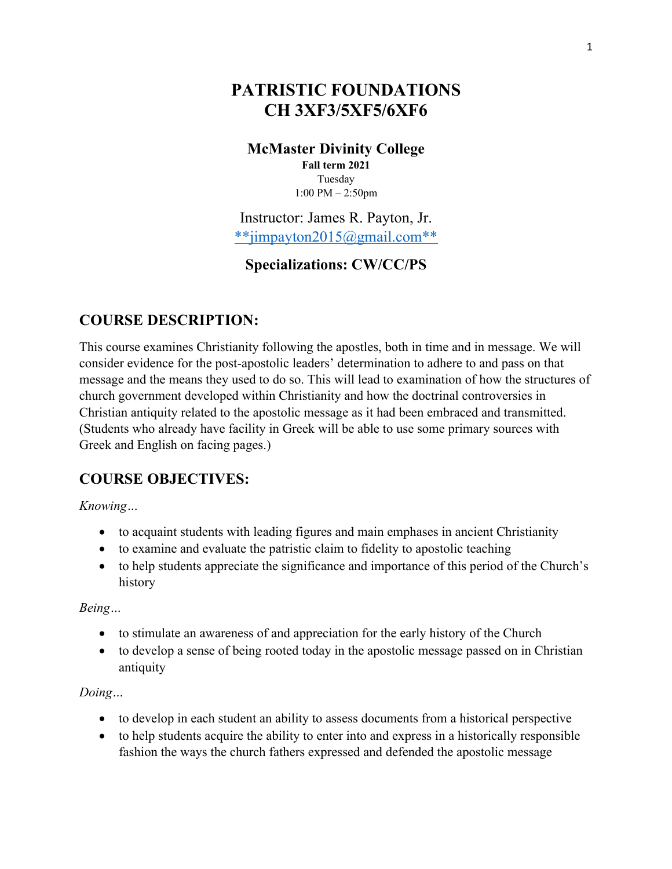# **PATRISTIC FOUNDATIONS CH 3XF3/5XF5/6XF6**

#### **McMaster Divinity College**

**Fall term 2021** Tuesday 1:00 PM – 2:50pm

Instructor: James R. Payton, Jr. \*\*jimpayton2015@gmail.com\*\*

# **Specializations: CW/CC/PS**

### **COURSE DESCRIPTION:**

This course examines Christianity following the apostles, both in time and in message. We will consider evidence for the post-apostolic leaders' determination to adhere to and pass on that message and the means they used to do so. This will lead to examination of how the structures of church government developed within Christianity and how the doctrinal controversies in Christian antiquity related to the apostolic message as it had been embraced and transmitted. (Students who already have facility in Greek will be able to use some primary sources with Greek and English on facing pages.)

# **COURSE OBJECTIVES:**

*Knowing…* 

- to acquaint students with leading figures and main emphases in ancient Christianity
- to examine and evaluate the patristic claim to fidelity to apostolic teaching
- to help students appreciate the significance and importance of this period of the Church's history

*Being…*

- to stimulate an awareness of and appreciation for the early history of the Church
- to develop a sense of being rooted today in the apostolic message passed on in Christian antiquity

#### *Doing…*

- to develop in each student an ability to assess documents from a historical perspective
- to help students acquire the ability to enter into and express in a historically responsible fashion the ways the church fathers expressed and defended the apostolic message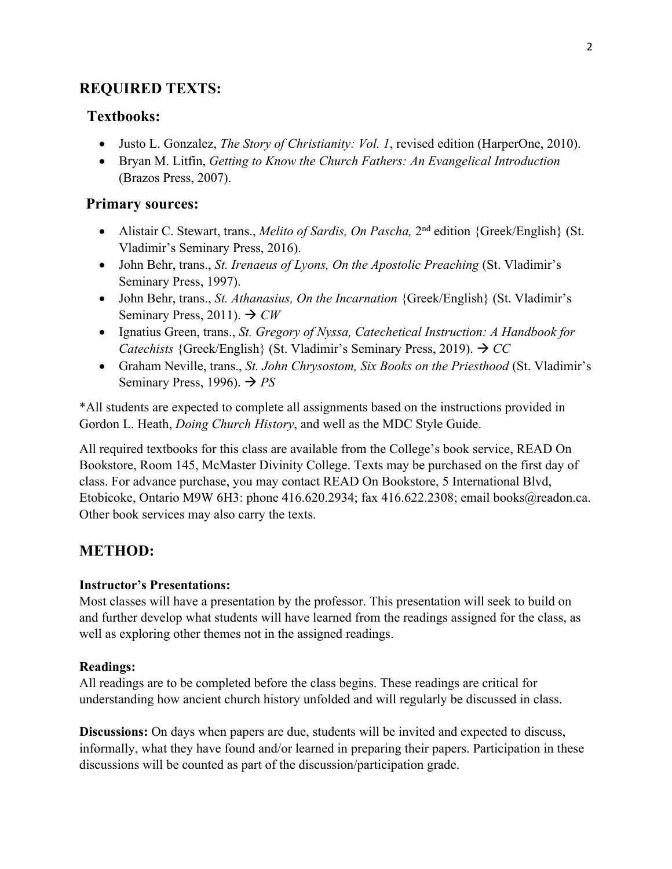# **REQUIRED TEXTS:**

### **Textbooks:**

- Justo L. Gonzalez, *The Story of Christianity: Vol. 1*, revised edition (HarperOne, 2010).
- Bryan M. Litfin, *Getting to Know the Church Fathers: An Evangelical Introduction* (Brazos Press, 2007).

### **Primary sources:**

- Alistair C. Stewart, trans., *Melito of Sardis, On Pascha*, 2<sup>nd</sup> edition {Greek/English} (St. Vladimir's Seminary Press, 2016).
- John Behr, trans., *St. Irenaeus of Lyons, On the Apostolic Preaching* (St. Vladimir's Seminary Press, 1997).
- John Behr, trans., *St. Athanasius, On the Incarnation* {Greek/English} (St. Vladimir's Seminary Press, 2011).  $\rightarrow$  *CW*
- Ignatius Green, trans., *St. Gregory of Nyssa, Catechetical Instruction: A Handbook for Catechists* {Greek/English} (St. Vladimir's Seminary Press, 2019). à *CC*
- Graham Neville, trans., *St. John Chrysostom, Six Books on the Priesthood* (St. Vladimir's Seminary Press, 1996).  $\rightarrow PS$

\*All students are expected to complete all assignments based on the instructions provided in Gordon L. Heath, *Doing Church History*, and well as the MDC Style Guide.

All required textbooks for this class are available from the College's book service, READ On Bookstore, Room 145, McMaster Divinity College. Texts may be purchased on the first day of class. For advance purchase, you may contact READ On Bookstore, 5 International Blvd, Etobicoke, Ontario M9W 6H3: phone 416.620.2934; fax 416.622.2308; email books@readon.ca. Other book services may also carry the texts.

# **METHOD:**

#### **Instructor's Presentations:**

Most classes will have a presentation by the professor. This presentation will seek to build on and further develop what students will have learned from the readings assigned for the class, as well as exploring other themes not in the assigned readings.

#### **Readings:**

All readings are to be completed before the class begins. These readings are critical for understanding how ancient church history unfolded and will regularly be discussed in class.

**Discussions:** On days when papers are due, students will be invited and expected to discuss, informally, what they have found and/or learned in preparing their papers. Participation in these discussions will be counted as part of the discussion/participation grade.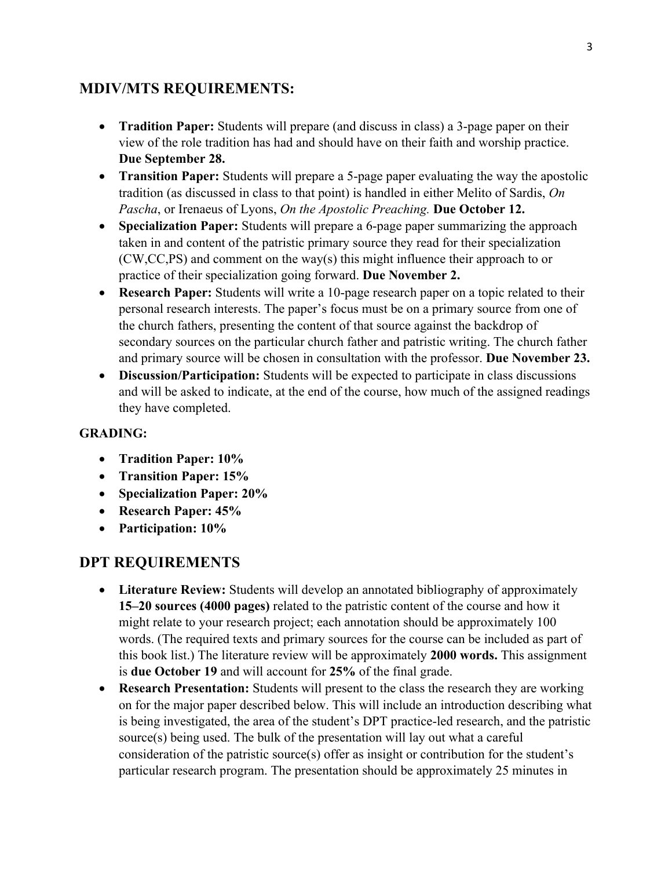# **MDIV/MTS REQUIREMENTS:**

- **Tradition Paper:** Students will prepare (and discuss in class) a 3-page paper on their view of the role tradition has had and should have on their faith and worship practice. **Due September 28.**
- **Transition Paper:** Students will prepare a 5-page paper evaluating the way the apostolic tradition (as discussed in class to that point) is handled in either Melito of Sardis, *On Pascha*, or Irenaeus of Lyons, *On the Apostolic Preaching.* **Due October 12.**
- **Specialization Paper:** Students will prepare a 6-page paper summarizing the approach taken in and content of the patristic primary source they read for their specialization (CW,CC,PS) and comment on the way(s) this might influence their approach to or practice of their specialization going forward. **Due November 2.**
- **Research Paper:** Students will write a 10-page research paper on a topic related to their personal research interests. The paper's focus must be on a primary source from one of the church fathers, presenting the content of that source against the backdrop of secondary sources on the particular church father and patristic writing. The church father and primary source will be chosen in consultation with the professor. **Due November 23.**
- **Discussion/Participation:** Students will be expected to participate in class discussions and will be asked to indicate, at the end of the course, how much of the assigned readings they have completed.

#### **GRADING:**

- **Tradition Paper: 10%**
- **Transition Paper: 15%**
- **Specialization Paper: 20%**
- **Research Paper: 45%**
- **Participation: 10%**

### **DPT REQUIREMENTS**

- **Literature Review:** Students will develop an annotated bibliography of approximately **15–20 sources (4000 pages)** related to the patristic content of the course and how it might relate to your research project; each annotation should be approximately 100 words. (The required texts and primary sources for the course can be included as part of this book list.) The literature review will be approximately **2000 words.** This assignment is **due October 19** and will account for **25%** of the final grade.
- **Research Presentation:** Students will present to the class the research they are working on for the major paper described below. This will include an introduction describing what is being investigated, the area of the student's DPT practice-led research, and the patristic source(s) being used. The bulk of the presentation will lay out what a careful consideration of the patristic source(s) offer as insight or contribution for the student's particular research program. The presentation should be approximately 25 minutes in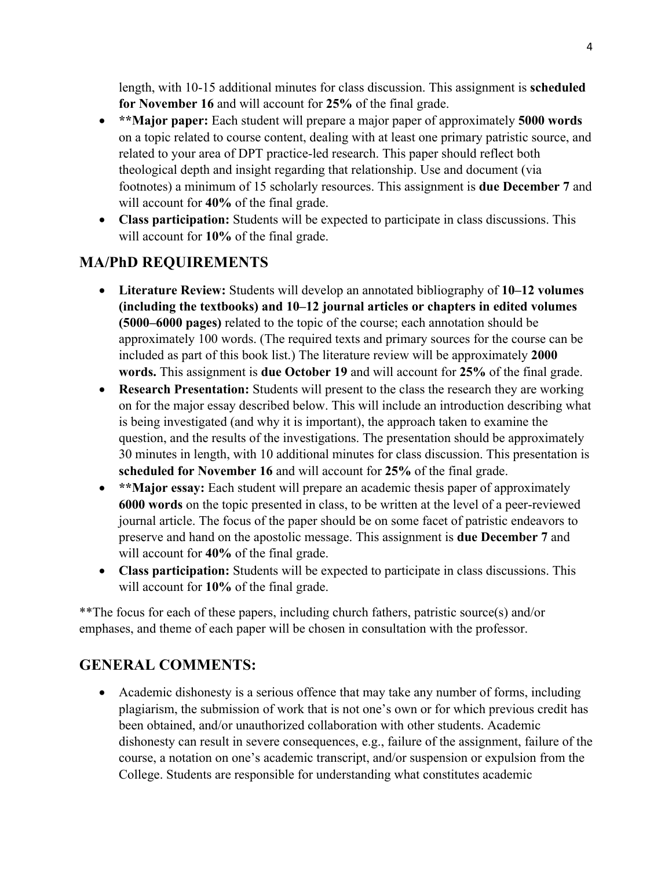length, with 10-15 additional minutes for class discussion. This assignment is **scheduled for November 16** and will account for **25%** of the final grade.

- **\*\*Major paper:** Each student will prepare a major paper of approximately **5000 words** on a topic related to course content, dealing with at least one primary patristic source, and related to your area of DPT practice-led research. This paper should reflect both theological depth and insight regarding that relationship. Use and document (via footnotes) a minimum of 15 scholarly resources. This assignment is **due December 7** and will account for **40%** of the final grade.
- **Class participation:** Students will be expected to participate in class discussions. This will account for **10%** of the final grade.

# **MA/PhD REQUIREMENTS**

- **Literature Review:** Students will develop an annotated bibliography of **10–12 volumes (including the textbooks) and 10–12 journal articles or chapters in edited volumes (5000–6000 pages)** related to the topic of the course; each annotation should be approximately 100 words. (The required texts and primary sources for the course can be included as part of this book list.) The literature review will be approximately **2000 words.** This assignment is **due October 19** and will account for **25%** of the final grade.
- **Research Presentation:** Students will present to the class the research they are working on for the major essay described below. This will include an introduction describing what is being investigated (and why it is important), the approach taken to examine the question, and the results of the investigations. The presentation should be approximately 30 minutes in length, with 10 additional minutes for class discussion. This presentation is **scheduled for November 16** and will account for **25%** of the final grade.
- \***\*Major essay:** Each student will prepare an academic thesis paper of approximately **6000 words** on the topic presented in class, to be written at the level of a peer-reviewed journal article. The focus of the paper should be on some facet of patristic endeavors to preserve and hand on the apostolic message. This assignment is **due December 7** and will account for **40%** of the final grade.
- **Class participation:** Students will be expected to participate in class discussions. This will account for **10%** of the final grade.

\*\*The focus for each of these papers, including church fathers, patristic source(s) and/or emphases, and theme of each paper will be chosen in consultation with the professor.

# **GENERAL COMMENTS:**

• Academic dishonesty is a serious offence that may take any number of forms, including plagiarism, the submission of work that is not one's own or for which previous credit has been obtained, and/or unauthorized collaboration with other students. Academic dishonesty can result in severe consequences, e.g., failure of the assignment, failure of the course, a notation on one's academic transcript, and/or suspension or expulsion from the College. Students are responsible for understanding what constitutes academic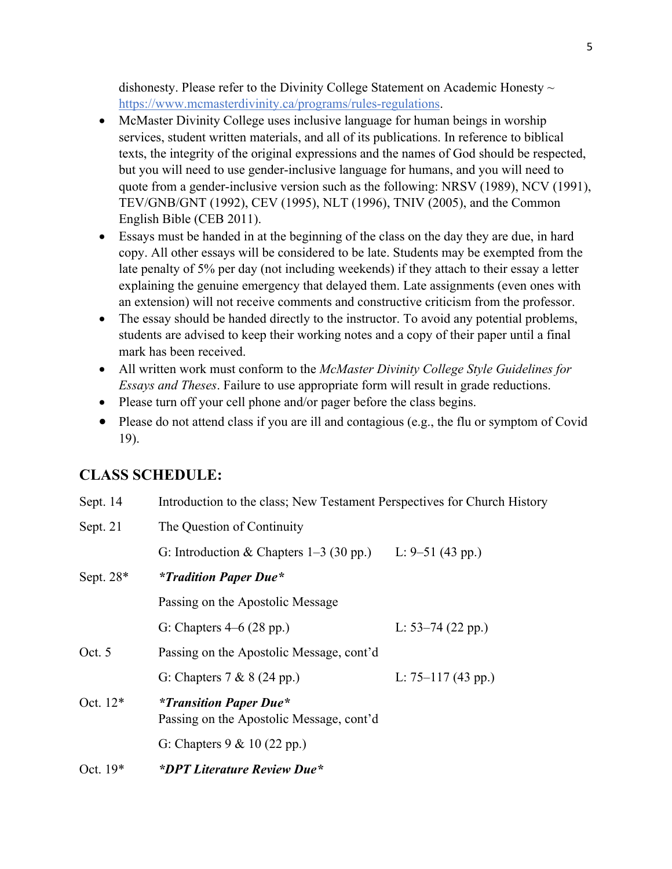dishonesty. Please refer to the Divinity College Statement on Academic Honesty  $\sim$ https://www.mcmasterdivinity.ca/programs/rules-regulations.

- McMaster Divinity College uses inclusive language for human beings in worship services, student written materials, and all of its publications. In reference to biblical texts, the integrity of the original expressions and the names of God should be respected, but you will need to use gender-inclusive language for humans, and you will need to quote from a gender-inclusive version such as the following: NRSV (1989), NCV (1991), TEV/GNB/GNT (1992), CEV (1995), NLT (1996), TNIV (2005), and the Common English Bible (CEB 2011).
- Essays must be handed in at the beginning of the class on the day they are due, in hard copy. All other essays will be considered to be late. Students may be exempted from the late penalty of 5% per day (not including weekends) if they attach to their essay a letter explaining the genuine emergency that delayed them. Late assignments (even ones with an extension) will not receive comments and constructive criticism from the professor.
- The essay should be handed directly to the instructor. To avoid any potential problems, students are advised to keep their working notes and a copy of their paper until a final mark has been received.
- All written work must conform to the *McMaster Divinity College Style Guidelines for Essays and Theses*. Failure to use appropriate form will result in grade reductions.
- Please turn off your cell phone and/or pager before the class begins.
- Please do not attend class if you are ill and contagious (e.g., the flu or symptom of Covid 19).

# **CLASS SCHEDULE:**

| Sept. 14             | Introduction to the class; New Testament Perspectives for Church History  |                             |
|----------------------|---------------------------------------------------------------------------|-----------------------------|
| Sept. 21             | The Question of Continuity                                                |                             |
|                      | G: Introduction & Chapters $1-3$ (30 pp.) L: 9-51 (43 pp.)                |                             |
| Sept. $28*$          | <i>*Tradition Paper Due*</i>                                              |                             |
|                      | Passing on the Apostolic Message                                          |                             |
|                      | G: Chapters $4-6(28 \text{ pp.})$                                         | L: $53-74$ (22 pp.)         |
| Oct. 5               | Passing on the Apostolic Message, cont'd                                  |                             |
|                      | G: Chapters $7 & 8 (24 pp.)$                                              | L: $75-117(43 \text{ pp.})$ |
| Oct. 12 <sup>*</sup> | <i>*Transition Paper Due*</i><br>Passing on the Apostolic Message, cont'd |                             |
|                      | G: Chapters $9 & 10 (22 pp.)$                                             |                             |
| Oct. 19*             | *DPT Literature Review Due*                                               |                             |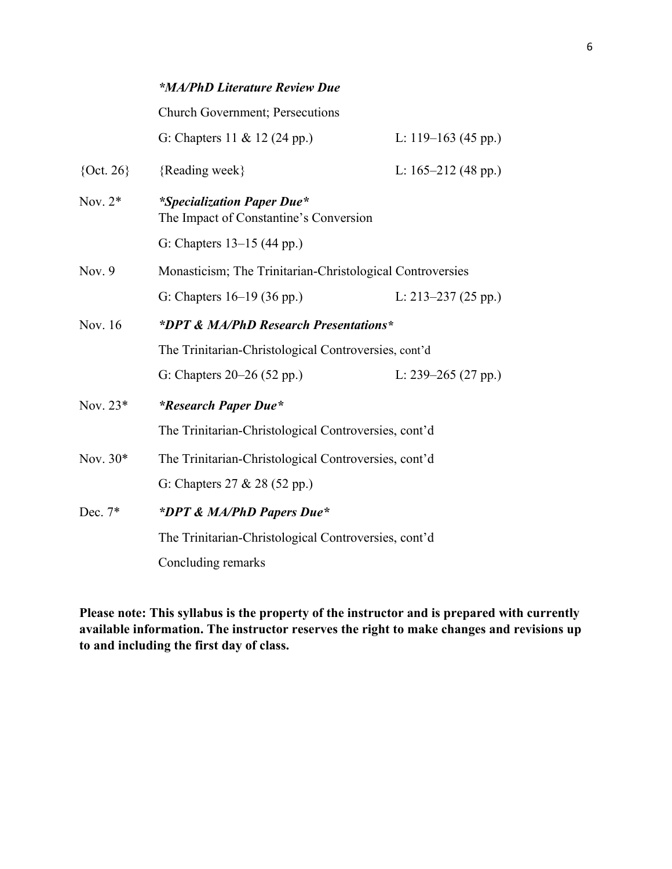#### *\*MA/PhD Literature Review Due*

Church Government; Persecutions G: Chapters 11 & 12 (24 pp.) L: 119–163 (45 pp.) {Oct. 26} {Reading week} L:  $165-212$  (48 pp.) Nov. 2\* *\*Specialization Paper Due\** The Impact of Constantine's Conversion G: Chapters 13–15 (44 pp.) Nov. 9 Monasticism; The Trinitarian-Christological Controversies G: Chapters 16–19 (36 pp.) L: 213–237 (25 pp.) Nov. 16 *\*DPT & MA/PhD Research Presentations\** The Trinitarian-Christological Controversies, cont'd G: Chapters 20–26 (52 pp.) L: 239–265 (27 pp.) Nov. 23\* *\*Research Paper Due\** The Trinitarian-Christological Controversies, cont'd Nov. 30\* The Trinitarian-Christological Controversies, cont'd G: Chapters 27 & 28 (52 pp.) Dec. 7\* *\*DPT & MA/PhD Papers Due\** The Trinitarian-Christological Controversies, cont'd Concluding remarks

**Please note: This syllabus is the property of the instructor and is prepared with currently available information. The instructor reserves the right to make changes and revisions up to and including the first day of class.**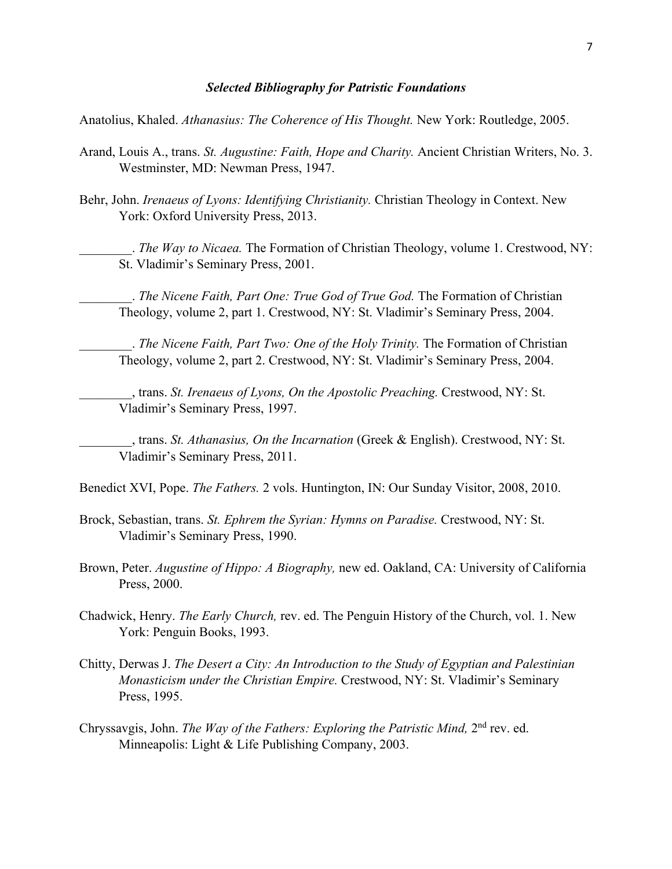#### *Selected Bibliography for Patristic Foundations*

Anatolius, Khaled. *Athanasius: The Coherence of His Thought.* New York: Routledge, 2005.

- Arand, Louis A., trans. *St. Augustine: Faith, Hope and Charity.* Ancient Christian Writers, No. 3. Westminster, MD: Newman Press, 1947.
- Behr, John. *Irenaeus of Lyons: Identifying Christianity.* Christian Theology in Context. New York: Oxford University Press, 2013.
	- . *The Way to Nicaea.* The Formation of Christian Theology, volume 1. Crestwood, NY: St. Vladimir's Seminary Press, 2001.
		- \_\_\_\_\_\_\_\_. *The Nicene Faith, Part One: True God of True God.* The Formation of Christian Theology, volume 2, part 1. Crestwood, NY: St. Vladimir's Seminary Press, 2004.
	- \_\_\_\_\_\_\_\_. *The Nicene Faith, Part Two: One of the Holy Trinity.* The Formation of Christian Theology, volume 2, part 2. Crestwood, NY: St. Vladimir's Seminary Press, 2004.
	- \_\_\_\_\_\_\_\_, trans. *St. Irenaeus of Lyons, On the Apostolic Preaching.* Crestwood, NY: St. Vladimir's Seminary Press, 1997.

\_\_\_\_\_\_\_\_, trans. *St. Athanasius, On the Incarnation* (Greek & English). Crestwood, NY: St. Vladimir's Seminary Press, 2011.

- Benedict XVI, Pope. *The Fathers.* 2 vols. Huntington, IN: Our Sunday Visitor, 2008, 2010.
- Brock, Sebastian, trans. *St. Ephrem the Syrian: Hymns on Paradise.* Crestwood, NY: St. Vladimir's Seminary Press, 1990.
- Brown, Peter. *Augustine of Hippo: A Biography,* new ed. Oakland, CA: University of California Press, 2000.
- Chadwick, Henry. *The Early Church,* rev. ed. The Penguin History of the Church, vol. 1. New York: Penguin Books, 1993.
- Chitty, Derwas J. *The Desert a City: An Introduction to the Study of Egyptian and Palestinian Monasticism under the Christian Empire.* Crestwood, NY: St. Vladimir's Seminary Press, 1995.
- Chryssavgis, John. *The Way of the Fathers: Exploring the Patristic Mind*, 2<sup>nd</sup> rev. ed. Minneapolis: Light & Life Publishing Company, 2003.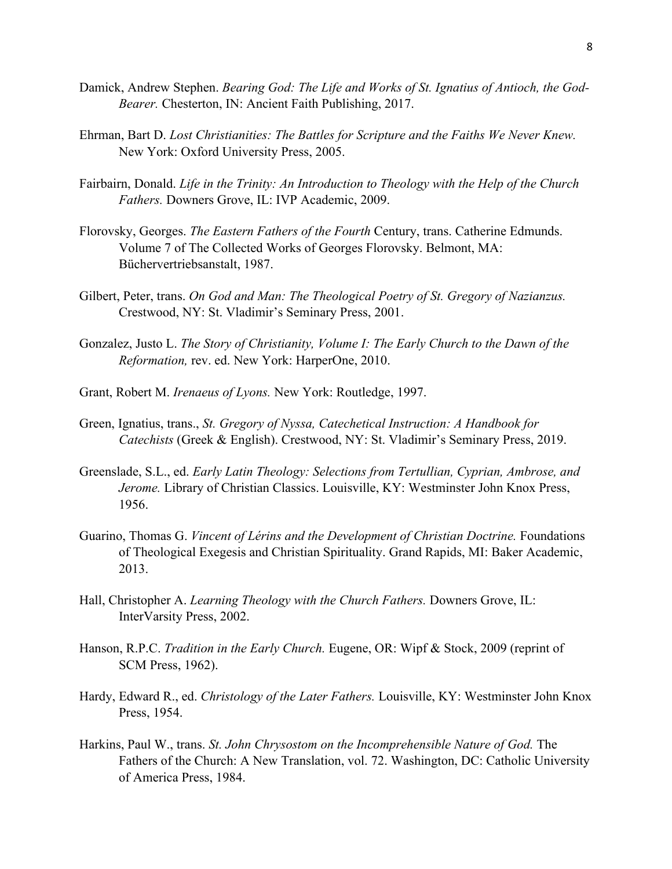- Damick, Andrew Stephen. *Bearing God: The Life and Works of St. Ignatius of Antioch, the God-Bearer.* Chesterton, IN: Ancient Faith Publishing, 2017.
- Ehrman, Bart D. *Lost Christianities: The Battles for Scripture and the Faiths We Never Knew.* New York: Oxford University Press, 2005.
- Fairbairn, Donald. *Life in the Trinity: An Introduction to Theology with the Help of the Church Fathers.* Downers Grove, IL: IVP Academic, 2009.
- Florovsky, Georges. *The Eastern Fathers of the Fourth* Century, trans. Catherine Edmunds. Volume 7 of The Collected Works of Georges Florovsky. Belmont, MA: Büchervertriebsanstalt, 1987.
- Gilbert, Peter, trans. *On God and Man: The Theological Poetry of St. Gregory of Nazianzus.* Crestwood, NY: St. Vladimir's Seminary Press, 2001.
- Gonzalez, Justo L. *The Story of Christianity, Volume I: The Early Church to the Dawn of the Reformation,* rev. ed. New York: HarperOne, 2010.
- Grant, Robert M. *Irenaeus of Lyons.* New York: Routledge, 1997.
- Green, Ignatius, trans., *St. Gregory of Nyssa, Catechetical Instruction: A Handbook for Catechists* (Greek & English). Crestwood, NY: St. Vladimir's Seminary Press, 2019.
- Greenslade, S.L., ed. *Early Latin Theology: Selections from Tertullian, Cyprian, Ambrose, and Jerome.* Library of Christian Classics. Louisville, KY: Westminster John Knox Press, 1956.
- Guarino, Thomas G. *Vincent of Lérins and the Development of Christian Doctrine.* Foundations of Theological Exegesis and Christian Spirituality. Grand Rapids, MI: Baker Academic, 2013.
- Hall, Christopher A. *Learning Theology with the Church Fathers.* Downers Grove, IL: InterVarsity Press, 2002.
- Hanson, R.P.C. *Tradition in the Early Church.* Eugene, OR: Wipf & Stock, 2009 (reprint of SCM Press, 1962).
- Hardy, Edward R., ed. *Christology of the Later Fathers.* Louisville, KY: Westminster John Knox Press, 1954.
- Harkins, Paul W., trans. *St. John Chrysostom on the Incomprehensible Nature of God.* The Fathers of the Church: A New Translation, vol. 72. Washington, DC: Catholic University of America Press, 1984.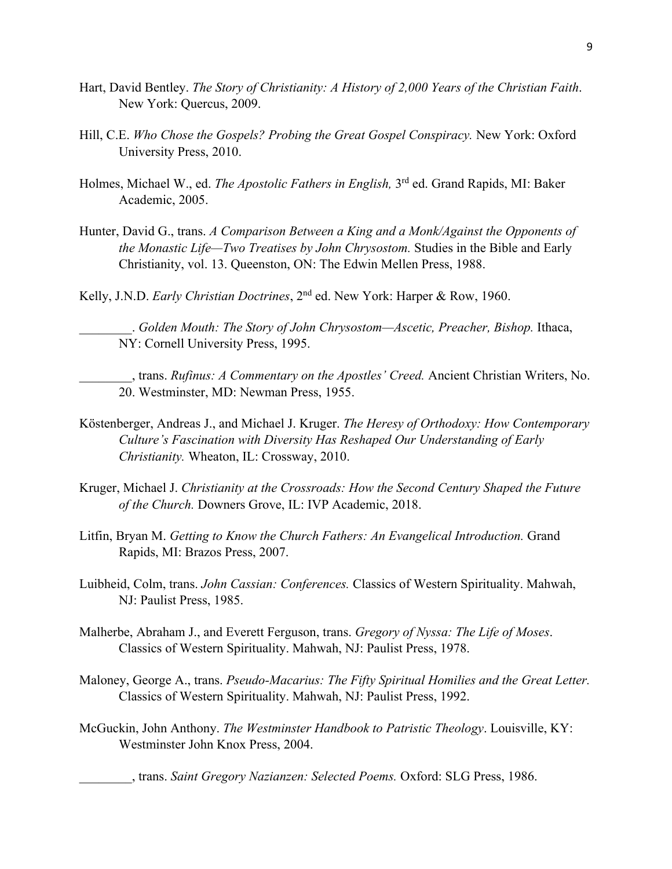- Hart, David Bentley. *The Story of Christianity: A History of 2,000 Years of the Christian Faith*. New York: Quercus, 2009.
- Hill, C.E. *Who Chose the Gospels? Probing the Great Gospel Conspiracy.* New York: Oxford University Press, 2010.
- Holmes, Michael W., ed. *The Apostolic Fathers in English,* 3rd ed. Grand Rapids, MI: Baker Academic, 2005.
- Hunter, David G., trans. *A Comparison Between a King and a Monk/Against the Opponents of the Monastic Life—Two Treatises by John Chrysostom.* Studies in the Bible and Early Christianity, vol. 13. Queenston, ON: The Edwin Mellen Press, 1988.
- Kelly, J.N.D. *Early Christian Doctrines*, 2nd ed. New York: Harper & Row, 1960.
	- \_\_\_\_\_\_\_\_. *Golden Mouth: The Story of John Chrysostom—Ascetic, Preacher, Bishop.* Ithaca, NY: Cornell University Press, 1995.
	- \_\_\_\_\_\_\_\_, trans. *Rufinus: A Commentary on the Apostles' Creed.* Ancient Christian Writers, No. 20. Westminster, MD: Newman Press, 1955.
- Köstenberger, Andreas J., and Michael J. Kruger. *The Heresy of Orthodoxy: How Contemporary Culture's Fascination with Diversity Has Reshaped Our Understanding of Early Christianity.* Wheaton, IL: Crossway, 2010.
- Kruger, Michael J. *Christianity at the Crossroads: How the Second Century Shaped the Future of the Church.* Downers Grove, IL: IVP Academic, 2018.
- Litfin, Bryan M. *Getting to Know the Church Fathers: An Evangelical Introduction.* Grand Rapids, MI: Brazos Press, 2007.
- Luibheid, Colm, trans. *John Cassian: Conferences.* Classics of Western Spirituality. Mahwah, NJ: Paulist Press, 1985.
- Malherbe, Abraham J., and Everett Ferguson, trans. *Gregory of Nyssa: The Life of Moses*. Classics of Western Spirituality. Mahwah, NJ: Paulist Press, 1978.
- Maloney, George A., trans. *Pseudo-Macarius: The Fifty Spiritual Homilies and the Great Letter.*  Classics of Western Spirituality. Mahwah, NJ: Paulist Press, 1992.
- McGuckin, John Anthony. *The Westminster Handbook to Patristic Theology*. Louisville, KY: Westminster John Knox Press, 2004.
	- \_\_\_\_\_\_\_\_, trans. *Saint Gregory Nazianzen: Selected Poems.* Oxford: SLG Press, 1986.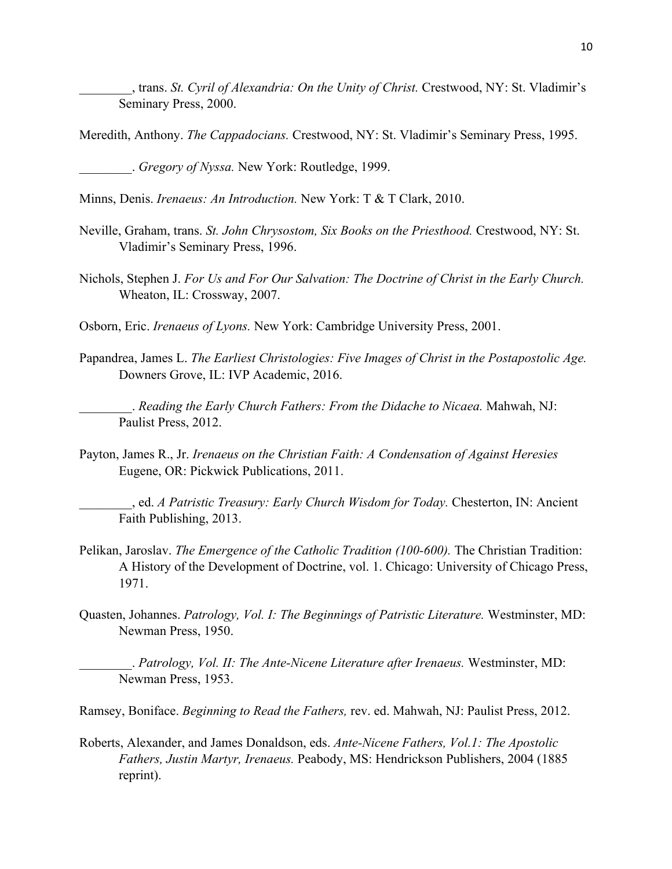\_\_\_\_\_\_\_\_, trans. *St. Cyril of Alexandria: On the Unity of Christ.* Crestwood, NY: St. Vladimir's Seminary Press, 2000.

Meredith, Anthony. *The Cappadocians.* Crestwood, NY: St. Vladimir's Seminary Press, 1995.

\_\_\_\_\_\_\_\_. *Gregory of Nyssa.* New York: Routledge, 1999.

Minns, Denis. *Irenaeus: An Introduction.* New York: T & T Clark, 2010.

- Neville, Graham, trans. *St. John Chrysostom, Six Books on the Priesthood.* Crestwood, NY: St. Vladimir's Seminary Press, 1996.
- Nichols, Stephen J. *For Us and For Our Salvation: The Doctrine of Christ in the Early Church.* Wheaton, IL: Crossway, 2007.
- Osborn, Eric. *Irenaeus of Lyons.* New York: Cambridge University Press, 2001.
- Papandrea, James L. *The Earliest Christologies: Five Images of Christ in the Postapostolic Age.* Downers Grove, IL: IVP Academic, 2016.

\_\_\_\_\_\_\_\_. *Reading the Early Church Fathers: From the Didache to Nicaea.* Mahwah, NJ: Paulist Press, 2012.

- Payton, James R., Jr. *Irenaeus on the Christian Faith: A Condensation of Against Heresies* Eugene, OR: Pickwick Publications, 2011.
	- \_\_\_\_\_\_\_\_, ed. *A Patristic Treasury: Early Church Wisdom for Today.* Chesterton, IN: Ancient Faith Publishing, 2013.
- Pelikan, Jaroslav. *The Emergence of the Catholic Tradition (100-600).* The Christian Tradition: A History of the Development of Doctrine, vol. 1. Chicago: University of Chicago Press, 1971.
- Quasten, Johannes. *Patrology, Vol. I: The Beginnings of Patristic Literature.* Westminster, MD: Newman Press, 1950.

\_\_\_\_\_\_\_\_. *Patrology, Vol. II: The Ante-Nicene Literature after Irenaeus.* Westminster, MD: Newman Press, 1953.

Ramsey, Boniface. *Beginning to Read the Fathers,* rev. ed. Mahwah, NJ: Paulist Press, 2012.

Roberts, Alexander, and James Donaldson, eds. *Ante-Nicene Fathers, Vol.1: The Apostolic Fathers, Justin Martyr, Irenaeus.* Peabody, MS: Hendrickson Publishers, 2004 (1885 reprint).